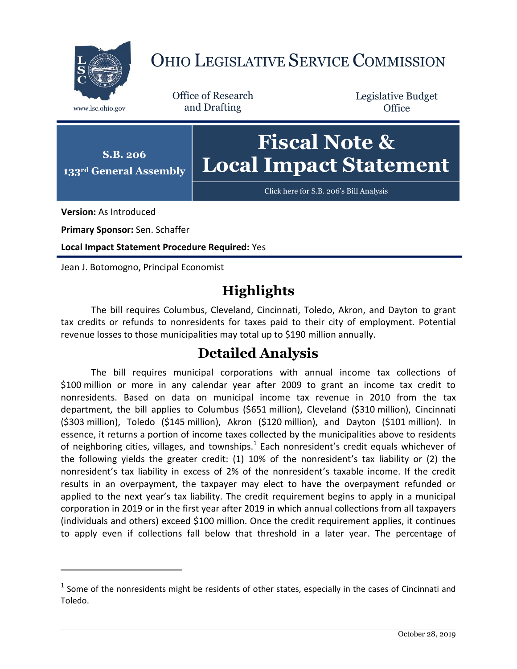

## OHIO LEGISLATIVE SERVICE COMMISSION

Office of Research www.lsc.ohio.gov and Drafting

Legislative Budget **Office** 



[Click here for S.B. 206](https://www.legislature.ohio.gov/legislation/legislation-documents?id=GA133-SB-206)'s Bill Analysis

**Version:** As Introduced

 $\overline{a}$ 

**Primary Sponsor:** Sen. Schaffer

**Local Impact Statement Procedure Required:** Yes

Jean J. Botomogno, Principal Economist

## **Highlights**

The bill requires Columbus, Cleveland, Cincinnati, Toledo, Akron, and Dayton to grant tax credits or refunds to nonresidents for taxes paid to their city of employment. Potential revenue losses to those municipalities may total up to \$190 million annually.

## **Detailed Analysis**

The bill requires municipal corporations with annual income tax collections of \$100 million or more in any calendar year after 2009 to grant an income tax credit to nonresidents. Based on data on municipal income tax revenue in 2010 from the tax department, the bill applies to Columbus (\$651 million), Cleveland (\$310 million), Cincinnati (\$303 million), Toledo (\$145 million), Akron (\$120 million), and Dayton (\$101 million). In essence, it returns a portion of income taxes collected by the municipalities above to residents of neighboring cities, villages, and townships. $^1$  Each nonresident's credit equals whichever of the following yields the greater credit: (1) 10% of the nonresident's tax liability or (2) the nonresident's tax liability in excess of 2% of the nonresident's taxable income. If the credit results in an overpayment, the taxpayer may elect to have the overpayment refunded or applied to the next year's tax liability. The credit requirement begins to apply in a municipal corporation in 2019 or in the first year after 2019 in which annual collections from all taxpayers (individuals and others) exceed \$100 million. Once the credit requirement applies, it continues to apply even if collections fall below that threshold in a later year. The percentage of

 $<sup>1</sup>$  Some of the nonresidents might be residents of other states, especially in the cases of Cincinnati and</sup> Toledo.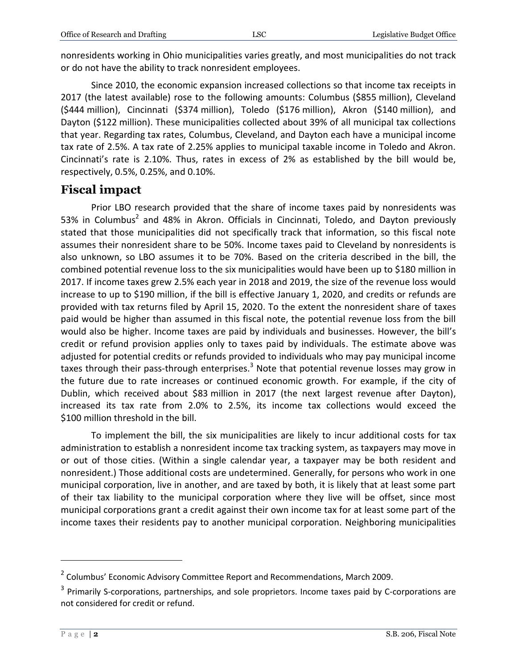nonresidents working in Ohio municipalities varies greatly, and most municipalities do not track or do not have the ability to track nonresident employees.

Since 2010, the economic expansion increased collections so that income tax receipts in 2017 (the latest available) rose to the following amounts: Columbus (\$855 million), Cleveland (\$444 million), Cincinnati (\$374 million), Toledo (\$176 million), Akron (\$140 million), and Dayton (\$122 million). These municipalities collected about 39% of all municipal tax collections that year. Regarding tax rates, Columbus, Cleveland, and Dayton each have a municipal income tax rate of 2.5%. A tax rate of 2.25% applies to municipal taxable income in Toledo and Akron. Cincinnati's rate is 2.10%. Thus, rates in excess of 2% as established by the bill would be, respectively, 0.5%, 0.25%, and 0.10%.

## **Fiscal impact**

Prior LBO research provided that the share of income taxes paid by nonresidents was 53% in Columbus<sup>2</sup> and 48% in Akron. Officials in Cincinnati, Toledo, and Dayton previously stated that those municipalities did not specifically track that information, so this fiscal note assumes their nonresident share to be 50%. Income taxes paid to Cleveland by nonresidents is also unknown, so LBO assumes it to be 70%. Based on the criteria described in the bill, the combined potential revenue loss to the six municipalities would have been up to \$180 million in 2017. If income taxes grew 2.5% each year in 2018 and 2019, the size of the revenue loss would increase to up to \$190 million, if the bill is effective January 1, 2020, and credits or refunds are provided with tax returns filed by April 15, 2020. To the extent the nonresident share of taxes paid would be higher than assumed in this fiscal note, the potential revenue loss from the bill would also be higher. Income taxes are paid by individuals and businesses. However, the bill's credit or refund provision applies only to taxes paid by individuals. The estimate above was adjusted for potential credits or refunds provided to individuals who may pay municipal income taxes through their pass-through enterprises.<sup>3</sup> Note that potential revenue losses may grow in the future due to rate increases or continued economic growth. For example, if the city of Dublin, which received about \$83 million in 2017 (the next largest revenue after Dayton), increased its tax rate from 2.0% to 2.5%, its income tax collections would exceed the \$100 million threshold in the bill.

To implement the bill, the six municipalities are likely to incur additional costs for tax administration to establish a nonresident income tax tracking system, as taxpayers may move in or out of those cities. (Within a single calendar year, a taxpayer may be both resident and nonresident.) Those additional costs are undetermined. Generally, for persons who work in one municipal corporation, live in another, and are taxed by both, it is likely that at least some part of their tax liability to the municipal corporation where they live will be offset, since most municipal corporations grant a credit against their own income tax for at least some part of the income taxes their residents pay to another municipal corporation. Neighboring municipalities

 $\overline{a}$ 

<sup>&</sup>lt;sup>2</sup> Columbus' Economic Advisory Committee Report and Recommendations, March 2009.

<sup>&</sup>lt;sup>3</sup> Primarily S-corporations, partnerships, and sole proprietors. Income taxes paid by C-corporations are not considered for credit or refund.